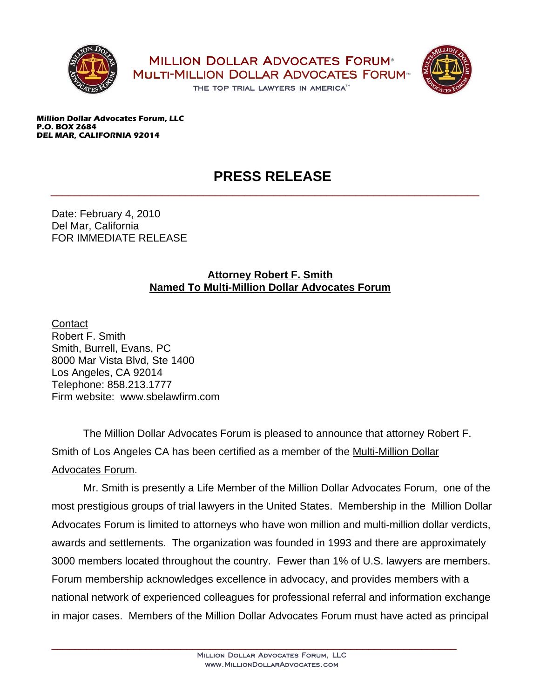



**Million Dollar Advocates Forum, LLC P.O. BOX 2684 DEL MAR, CALIFORNIA 92014**

## **PRESS RELEASE**

\_\_\_\_\_\_\_\_\_\_\_\_\_\_\_\_\_\_\_\_\_\_\_\_\_\_\_\_\_\_\_\_\_\_\_\_\_\_\_\_\_\_\_\_\_\_\_\_\_\_\_\_\_\_\_\_\_\_\_\_\_\_\_\_\_\_\_\_\_\_\_\_\_

Date: February 4, 2010 Del Mar, California FOR IMMEDIATE RELEASE

## **Attorney Robert F. Smith Named To Multi-Million Dollar Advocates Forum**

**Contact** Robert F. Smith Smith, Burrell, Evans, PC 8000 Mar Vista Blvd, Ste 1400 Los Angeles, CA 92014 Telephone: 858.213.1777 Firm website: www.sbelawfirm.com

The Million Dollar Advocates Forum is pleased to announce that attorney Robert F. Smith of Los Angeles CA has been certified as a member of the Multi-Million Dollar Advocates Forum.

Mr. Smith is presently a Life Member of the Million Dollar Advocates Forum, one of the most prestigious groups of trial lawyers in the United States. Membership in the Million Dollar Advocates Forum is limited to attorneys who have won million and multi-million dollar verdicts, awards and settlements. The organization was founded in 1993 and there are approximately 3000 members located throughout the country. Fewer than 1% of U.S. lawyers are members. Forum membership acknowledges excellence in advocacy, and provides members with a national network of experienced colleagues for professional referral and information exchange in major cases. Members of the Million Dollar Advocates Forum must have acted as principal

\_\_\_\_\_\_\_\_\_\_\_\_\_\_\_\_\_\_\_\_\_\_\_\_\_\_\_\_\_\_\_\_\_\_\_\_\_\_\_\_\_\_\_\_\_\_\_\_\_\_\_\_\_\_\_\_\_\_\_\_\_\_\_\_\_\_\_\_\_